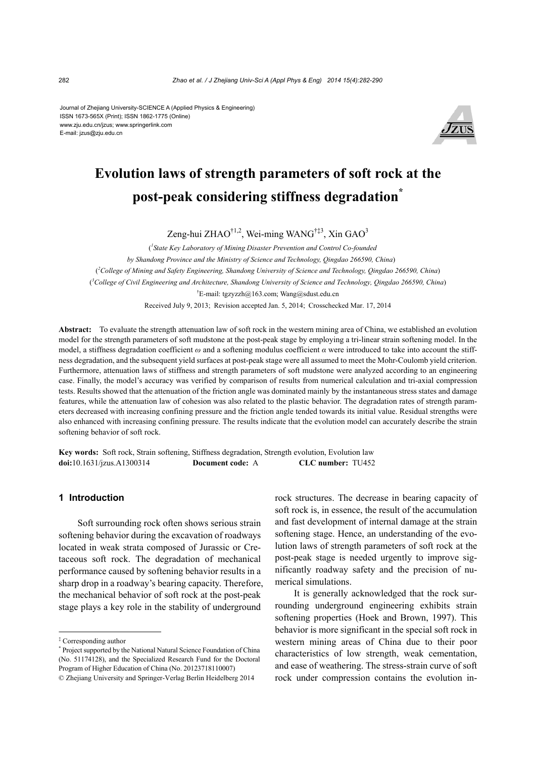Journal of Zhejiang University-SCIENCE A (Applied Physics & Engineering) ISSN 1673-565X (Print); ISSN 1862-1775 (Online) www.zju.edu.cn/jzus; www.springerlink.com E-mail: jzus@zju.edu.cn



# **Evolution laws of strength parameters of soft rock at the post-peak considering stiffness degradation\***

Zeng-hui ZHAO<sup>†1,2</sup>, Wei-ming WANG<sup>†‡3</sup>, Xin GAO<sup>3</sup>

( *1 State Key Laboratory of Mining Disaster Prevention and Control Co-founded by Shandong Province and the Ministry of Science and Technology, Qingdao 266590, China*) ( *2 College of Mining and Safety Engineering, Shandong University of Science and Technology, Qingdao 266590, China*) ( *3 College of Civil Engineering and Architecture, Shandong University of Science and Technology, Qingdao 266590, China*) † E-mail: tgzyzzh@163.com; Wang@sdust.edu.cn

Received July 9, 2013; Revision accepted Jan. 5, 2014; Crosschecked Mar. 17, 2014

**Abstract:** To evaluate the strength attenuation law of soft rock in the western mining area of China, we established an evolution model for the strength parameters of soft mudstone at the post-peak stage by employing a tri-linear strain softening model. In the model, a stiffness degradation coefficient *ω* and a softening modulus coefficient *α* were introduced to take into account the stiffness degradation, and the subsequent yield surfaces at post-peak stage were all assumed to meet the Mohr-Coulomb yield criterion. Furthermore, attenuation laws of stiffness and strength parameters of soft mudstone were analyzed according to an engineering case. Finally, the model's accuracy was verified by comparison of results from numerical calculation and tri-axial compression tests. Results showed that the attenuation of the friction angle was dominated mainly by the instantaneous stress states and damage features, while the attenuation law of cohesion was also related to the plastic behavior. The degradation rates of strength parameters decreased with increasing confining pressure and the friction angle tended towards its initial value. Residual strengths were also enhanced with increasing confining pressure. The results indicate that the evolution model can accurately describe the strain softening behavior of soft rock.

**Key words:** Soft rock, Strain softening, Stiffness degradation, Strength evolution, Evolution law **doi:**10.1631/jzus.A1300314 **Document code:** A **CLC number:** TU452

#### **1 Introduction**

Soft surrounding rock often shows serious strain softening behavior during the excavation of roadways located in weak strata composed of Jurassic or Cretaceous soft rock. The degradation of mechanical performance caused by softening behavior results in a sharp drop in a roadway's bearing capacity. Therefore, the mechanical behavior of soft rock at the post-peak stage plays a key role in the stability of underground

rock structures. The decrease in bearing capacity of soft rock is, in essence, the result of the accumulation and fast development of internal damage at the strain softening stage. Hence, an understanding of the evolution laws of strength parameters of soft rock at the post-peak stage is needed urgently to improve significantly roadway safety and the precision of numerical simulations.

It is generally acknowledged that the rock surrounding underground engineering exhibits strain softening properties (Hoek and Brown, 1997). This behavior is more significant in the special soft rock in western mining areas of China due to their poor characteristics of low strength, weak cementation, and ease of weathering. The stress-strain curve of soft rock under compression contains the evolution in-

<sup>‡</sup> Corresponding author

<sup>\*</sup> Project supported by the National Natural Science Foundation of China (No. 51174128), and the Specialized Research Fund for the Doctoral Program of Higher Education of China (No. 20123718110007)

<sup>©</sup> Zhejiang University and Springer-Verlag Berlin Heidelberg 2014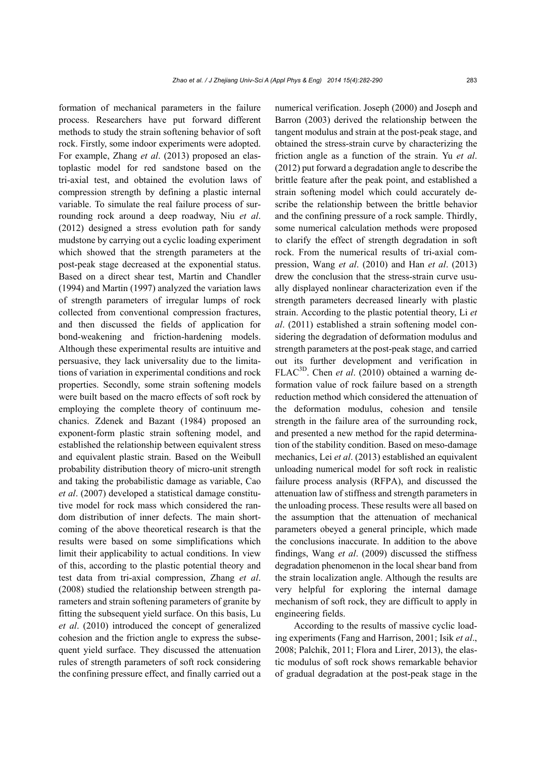formation of mechanical parameters in the failure process. Researchers have put forward different methods to study the strain softening behavior of soft rock. Firstly, some indoor experiments were adopted. For example, Zhang *et al*. (2013) proposed an elastoplastic model for red sandstone based on the tri-axial test, and obtained the evolution laws of compression strength by defining a plastic internal variable. To simulate the real failure process of surrounding rock around a deep roadway, Niu *et al*. (2012) designed a stress evolution path for sandy mudstone by carrying out a cyclic loading experiment which showed that the strength parameters at the post-peak stage decreased at the exponential status. Based on a direct shear test, Martin and Chandler (1994) and Martin (1997) analyzed the variation laws of strength parameters of irregular lumps of rock collected from conventional compression fractures, and then discussed the fields of application for bond-weakening and friction-hardening models. Although these experimental results are intuitive and persuasive, they lack universality due to the limitations of variation in experimental conditions and rock properties. Secondly, some strain softening models were built based on the macro effects of soft rock by employing the complete theory of continuum mechanics. Zdenek and Bazant (1984) proposed an exponent-form plastic strain softening model, and established the relationship between equivalent stress and equivalent plastic strain. Based on the Weibull probability distribution theory of micro-unit strength and taking the probabilistic damage as variable, Cao *et al*. (2007) developed a statistical damage constitutive model for rock mass which considered the random distribution of inner defects. The main shortcoming of the above theoretical research is that the results were based on some simplifications which limit their applicability to actual conditions. In view of this, according to the plastic potential theory and test data from tri-axial compression, Zhang *et al*. (2008) studied the relationship between strength parameters and strain softening parameters of granite by fitting the subsequent yield surface. On this basis, Lu *et al*. (2010) introduced the concept of generalized cohesion and the friction angle to express the subsequent yield surface. They discussed the attenuation rules of strength parameters of soft rock considering the confining pressure effect, and finally carried out a

numerical verification. Joseph (2000) and Joseph and Barron (2003) derived the relationship between the tangent modulus and strain at the post-peak stage, and obtained the stress-strain curve by characterizing the friction angle as a function of the strain. Yu *et al*. (2012) put forward a degradation angle to describe the brittle feature after the peak point, and established a strain softening model which could accurately describe the relationship between the brittle behavior and the confining pressure of a rock sample. Thirdly, some numerical calculation methods were proposed to clarify the effect of strength degradation in soft rock. From the numerical results of tri-axial compression, Wang *et al*. (2010) and Han *et al*. (2013) drew the conclusion that the stress-strain curve usually displayed nonlinear characterization even if the strength parameters decreased linearly with plastic strain. According to the plastic potential theory, Li *et al*. (2011) established a strain softening model considering the degradation of deformation modulus and strength parameters at the post-peak stage, and carried out its further development and verification in FLAC3D. Chen *et al*. (2010) obtained a warning deformation value of rock failure based on a strength reduction method which considered the attenuation of the deformation modulus, cohesion and tensile strength in the failure area of the surrounding rock, and presented a new method for the rapid determination of the stability condition. Based on meso-damage mechanics, Lei *et al*. (2013) established an equivalent unloading numerical model for soft rock in realistic failure process analysis (RFPA), and discussed the attenuation law of stiffness and strength parameters in the unloading process. These results were all based on the assumption that the attenuation of mechanical parameters obeyed a general principle, which made the conclusions inaccurate. In addition to the above findings, Wang *et al*. (2009) discussed the stiffness degradation phenomenon in the local shear band from the strain localization angle. Although the results are very helpful for exploring the internal damage mechanism of soft rock, they are difficult to apply in engineering fields.

According to the results of massive cyclic loading experiments (Fang and Harrison, 2001; Isik *et al*., 2008; Palchik, 2011; Flora and Lirer, 2013), the elastic modulus of soft rock shows remarkable behavior of gradual degradation at the post-peak stage in the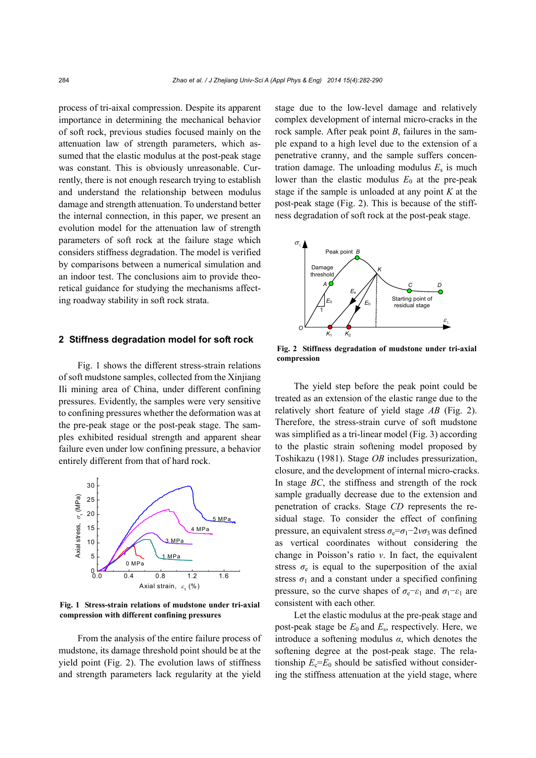process of tri-aixal compression. Despite its apparent importance in determining the mechanical behavior of soft rock, previous studies focused mainly on the attenuation law of strength parameters, which assumed that the elastic modulus at the post-peak stage was constant. This is obviously unreasonable. Currently, there is not enough research trying to establish and understand the relationship between modulus damage and strength attenuation. To understand better the internal connection, in this paper, we present an evolution model for the attenuation law of strength parameters of soft rock at the failure stage which considers stiffness degradation. The model is verified by comparisons between a numerical simulation and an indoor test. The conclusions aim to provide theoretical guidance for studying the mechanisms affecting roadway stability in soft rock strata.

#### **2 Stiffness degradation model for soft rock**

Fig. 1 shows the different stress-strain relations of soft mudstone samples, collected from the Xinjiang Ili mining area of China, under different confining pressures. Evidently, the samples were very sensitive to confining pressures whether the deformation was at the pre-peak stage or the post-peak stage. The samples exhibited residual strength and apparent shear failure even under low confining pressure, a behavior entirely different from that of hard rock.



**Fig. 1 Stress-strain relations of mudstone under tri-axial compression with different confining pressures** 

From the analysis of the entire failure process of mudstone, its damage threshold point should be at the yield point (Fig. 2). The evolution laws of stiffness and strength parameters lack regularity at the yield

stage due to the low-level damage and relatively complex development of internal micro-cracks in the rock sample. After peak point *B*, failures in the sample expand to a high level due to the extension of a penetrative cranny, and the sample suffers concentration damage. The unloading modulus  $E_s$  is much lower than the elastic modulus  $E_0$  at the pre-peak stage if the sample is unloaded at any point *K* at the post-peak stage (Fig. 2). This is because of the stiffness degradation of soft rock at the post-peak stage.



**Fig. 2 Stiffness degradation of mudstone under tri-axial compression** 

The yield step before the peak point could be treated as an extension of the elastic range due to the relatively short feature of yield stage *AB* (Fig. 2). Therefore, the stress-strain curve of soft mudstone was simplified as a tri-linear model (Fig. 3) according to the plastic strain softening model proposed by Toshikazu (1981). Stage *OB* includes pressurization, closure, and the development of internal micro-cracks. In stage *BC*, the stiffness and strength of the rock sample gradually decrease due to the extension and penetration of cracks. Stage *CD* represents the residual stage. To consider the effect of confining pressure, an equivalent stress  $\sigma_e = \sigma_1 - 2\nu\sigma_3$  was defined as vertical coordinates without considering the change in Poisson's ratio *ν*. In fact, the equivalent stress  $\sigma_e$  is equal to the superposition of the axial stress  $\sigma_1$  and a constant under a specified confining pressure, so the curve shapes of  $\sigma_e - \varepsilon_1$  and  $\sigma_1 - \varepsilon_1$  are consistent with each other.

Let the elastic modulus at the pre-peak stage and post-peak stage be  $E_0$  and  $E_s$ , respectively. Here, we introduce a softening modulus *α*, which denotes the softening degree at the post-peak stage. The relationship  $E_c=E_0$  should be satisfied without considering the stiffness attenuation at the yield stage, where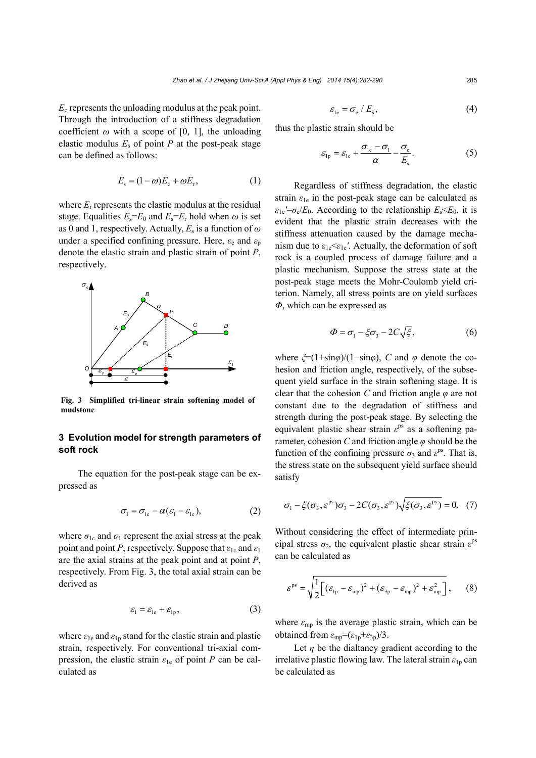*E*c represents the unloading modulus at the peak point. Through the introduction of a stiffness degradation coefficient  $\omega$  with a scope of [0, 1], the unloading elastic modulus  $E_s$  of point  $P$  at the post-peak stage can be defined as follows:

$$
E_{\rm s} = (1 - \omega)E_{\rm c} + \omega E_{\rm r},\tag{1}
$$

where  $E_r$  represents the elastic modulus at the residual stage. Equalities  $E_s = E_0$  and  $E_s = E_r$  hold when  $\omega$  is set as 0 and 1, respectively. Actually, *E*s is a function of *ω* under a specified confining pressure. Here, *ε*e and *ε*<sup>p</sup> denote the elastic strain and plastic strain of point *P*, respectively.



**Fig. 3 Simplified tri-linear strain softening model of mudstone** 

## **3 Evolution model for strength parameters of soft rock**

The equation for the post-peak stage can be expressed as

$$
\sigma_{\rm l} = \sigma_{\rm lc} - \alpha (\varepsilon_{\rm l} - \varepsilon_{\rm lc}),\tag{2}
$$

where  $\sigma_{1c}$  and  $\sigma_1$  represent the axial stress at the peak point and point *P*, respectively. Suppose that  $\varepsilon_1$  and  $\varepsilon_1$ are the axial strains at the peak point and at point *P*, respectively. From Fig. 3, the total axial strain can be derived as

$$
\varepsilon_{1} = \varepsilon_{1e} + \varepsilon_{1p}, \tag{3}
$$

where  $\varepsilon_{1e}$  and  $\varepsilon_{1p}$  stand for the elastic strain and plastic strain, respectively. For conventional tri-axial compression, the elastic strain  $\varepsilon_{1e}$  of point *P* can be calculated as

$$
\varepsilon_{\rm le} = \sigma_{\rm e} / E_{\rm s},\tag{4}
$$

thus the plastic strain should be

$$
\varepsilon_{\rm lp} = \varepsilon_{\rm lc} + \frac{\sigma_{\rm lc} - \sigma_{\rm l}}{\alpha} - \frac{\sigma_{\rm e}}{E_{\rm s}}.
$$
 (5)

Regardless of stiffness degradation, the elastic strain  $\varepsilon_{1e}$  in the post-peak stage can be calculated as  $\varepsilon_{1e} = \sigma_e/E_0$ . According to the relationship  $E_s \le E_0$ , it is evident that the plastic strain decreases with the stiffness attenuation caused by the damage mechanism due to  $\varepsilon_{1e} \leq \varepsilon_{1e}$ <sup>'</sup>. Actually, the deformation of soft rock is a coupled process of damage failure and a plastic mechanism. Suppose the stress state at the post-peak stage meets the Mohr-Coulomb yield criterion. Namely, all stress points are on yield surfaces *Φ*, which can be expressed as

$$
\Phi = \sigma_1 - \xi \sigma_3 - 2C \sqrt{\xi}, \qquad (6)
$$

where  $\zeta = (1 + \sin \varphi)/(1 - \sin \varphi)$ , *C* and  $\varphi$  denote the cohesion and friction angle, respectively, of the subsequent yield surface in the strain softening stage. It is clear that the cohesion *C* and friction angle *φ* are not constant due to the degradation of stiffness and strength during the post-peak stage. By selecting the equivalent plastic shear strain  $ε$ <sup>ps</sup> as a softening parameter, cohesion *C* and friction angle *φ* should be the function of the confining pressure  $\sigma_3$  and  $\varepsilon^{ps}$ . That is, the stress state on the subsequent yield surface should satisfy

$$
\sigma_1 - \xi(\sigma_3, \varepsilon^{ps})\sigma_3 - 2C(\sigma_3, \varepsilon^{ps})\sqrt{\xi(\sigma_3, \varepsilon^{ps})} = 0. \quad (7)
$$

Without considering the effect of intermediate principal stress  $\sigma_2$ , the equivalent plastic shear strain  $\varepsilon$ <sup>ps</sup> can be calculated as

$$
\varepsilon^{\text{ps}} = \sqrt{\frac{1}{2} \Big[ \big( \varepsilon_{\text{lp}} - \varepsilon_{\text{mp}} \big)^2 + \big( \varepsilon_{\text{3p}} - \varepsilon_{\text{mp}} \big)^2 + \varepsilon_{\text{mp}}^2 \Big]},\qquad(8)
$$

where  $\varepsilon_{\rm mp}$  is the average plastic strain, which can be obtained from  $\varepsilon_{mp} = (\varepsilon_{1p} + \varepsilon_{3p})/3$ .

Let  $\eta$  be the dialtancy gradient according to the irrelative plastic flowing law. The lateral strain *ε*<sub>1p</sub> can be calculated as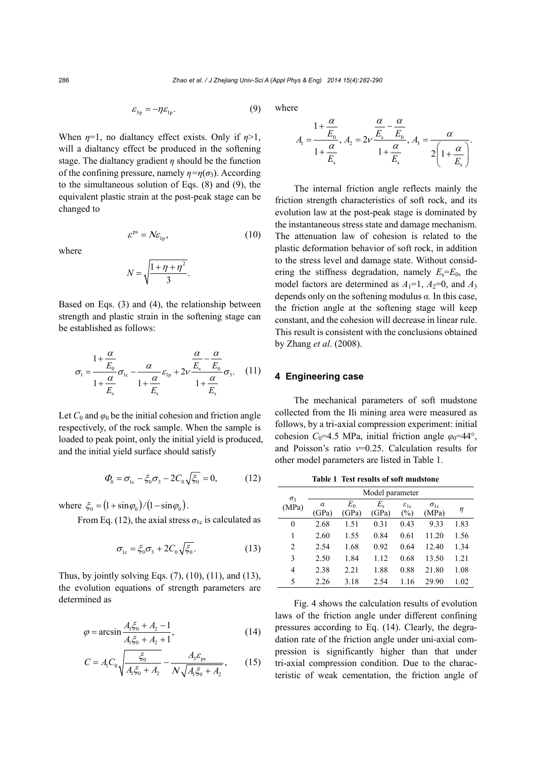$$
\varepsilon_{3p} = -\eta \varepsilon_{1p}.
$$
 (9)

 $\varepsilon^{\text{ps}} = N \varepsilon_{\text{lp}},$  (10)

When *η*=1, no dialtancy effect exists. Only if *η*>1, will a dialtancy effect be produced in the softening stage. The dialtancy gradient *η* should be the function of the confining pressure, namely  $\eta = \eta(\sigma_3)$ . According to the simultaneous solution of Eqs. (8) and (9), the equivalent plastic strain at the post-peak stage can be changed to

where

$$
N = \sqrt{\frac{1 + \eta + \eta^2}{3}}.
$$

Based on Eqs. (3) and (4), the relationship between strength and plastic strain in the softening stage can be established as follows:

$$
\sigma_1 = \frac{1 + \frac{\alpha}{E_0}}{1 + \frac{\alpha}{E_s}} \sigma_{1c} - \frac{\alpha}{1 + \frac{\alpha}{E_s}} \varepsilon_{1p} + 2\nu \frac{\frac{\alpha}{E_s} - \frac{\alpha}{E_0}}{1 + \frac{\alpha}{E_s}} \sigma_3. \quad (11)
$$

Let  $C_0$  and  $\varphi_0$  be the initial cohesion and friction angle respectively, of the rock sample. When the sample is loaded to peak point, only the initial yield is produced, and the initial yield surface should satisfy

$$
\Phi_0 = \sigma_{1c} - \xi_0 \sigma_3 - 2C_0 \sqrt{\xi_0} = 0, \qquad (12)
$$

where  $\xi_0 = (1 + \sin \varphi_0) / (1 - \sin \varphi_0)$ .

From Eq. (12), the axial stress  $\sigma_{1c}$  is calculated as

$$
\sigma_{1c} = \xi_0 \sigma_3 + 2C_0 \sqrt{\xi_0}.
$$
 (13)

Thus, by jointly solving Eqs. (7), (10), (11), and (13), the evolution equations of strength parameters are determined as

$$
\varphi = \arcsin \frac{A_1 \xi_0 + A_2 - 1}{A_1 \xi_0 + A_2 + 1},\tag{14}
$$

$$
C = A_1 C_0 \sqrt{\frac{\xi_0}{A_1 \xi_0 + A_2}} - \frac{A_3 \varepsilon_{\text{ps}}}{N \sqrt{A_1 \xi_0 + A_2}},
$$
 (15)

where

$$
A_1 = \frac{1 + \frac{\alpha}{E_0}}{1 + \frac{\alpha}{E_s}}, A_2 = 2\nu \frac{\frac{\alpha}{E_s} - \frac{\alpha}{E_0}}{1 + \frac{\alpha}{E_s}}, A_3 = \frac{\alpha}{2\left(1 + \frac{\alpha}{E_s}\right)}.
$$

The internal friction angle reflects mainly the friction strength characteristics of soft rock, and its evolution law at the post-peak stage is dominated by the instantaneous stress state and damage mechanism. The attenuation law of cohesion is related to the plastic deformation behavior of soft rock, in addition to the stress level and damage state. Without considering the stiffness degradation, namely  $E_s = E_0$ , the model factors are determined as  $A_1=1$ ,  $A_2=0$ , and  $A_3$ depends only on the softening modulus *α.* In this case, the friction angle at the softening stage will keep constant, and the cohesion will decrease in linear rule. This result is consistent with the conclusions obtained by Zhang *et al*. (2008).

#### **4 Engineering case**

The mechanical parameters of soft mudstone collected from the Ili mining area were measured as follows, by a tri-axial compression experiment: initial cohesion *C*<sub>0</sub>=4.5 MPa, initial friction angle  $\varphi_0$ =44°, and Poisson's ratio *ν*=0.25. Calculation results for other model parameters are listed in Table 1.

**Table 1 Test results of soft mudstone** 

| $\sigma_3$ | Model parameter   |                |                  |                            |                        |      |
|------------|-------------------|----------------|------------------|----------------------------|------------------------|------|
| (MPa)      | $\alpha$<br>(GPa) | $E_0$<br>(GPa) | $E_{s}$<br>(GPa) | $\varepsilon_{1c}$<br>$\%$ | $\sigma_{1c}$<br>(MPa) | η    |
| 0          | 2.68              | 1.51           | 0.31             | 0.43                       | 9.33                   | 1.83 |
| 1          | 2.60              | 1.55           | 0.84             | 0.61                       | 11.20                  | 1.56 |
| 2          | 2.54              | 1.68           | 0.92             | 0.64                       | 12.40                  | 1.34 |
| 3          | 2.50              | 1.84           | 1.12             | 0.68                       | 13.50                  | 1.21 |
| 4          | 2.38              | 2.21           | 1.88             | 0.88                       | 21.80                  | 1.08 |
| 5          | 2.26              | 3.18           | 2.54             | 1.16                       | 29.90                  | 1.02 |

Fig. 4 shows the calculation results of evolution laws of the friction angle under different confining pressures according to Eq. (14). Clearly, the degradation rate of the friction angle under uni-axial compression is significantly higher than that under tri-axial compression condition. Due to the characteristic of weak cementation, the friction angle of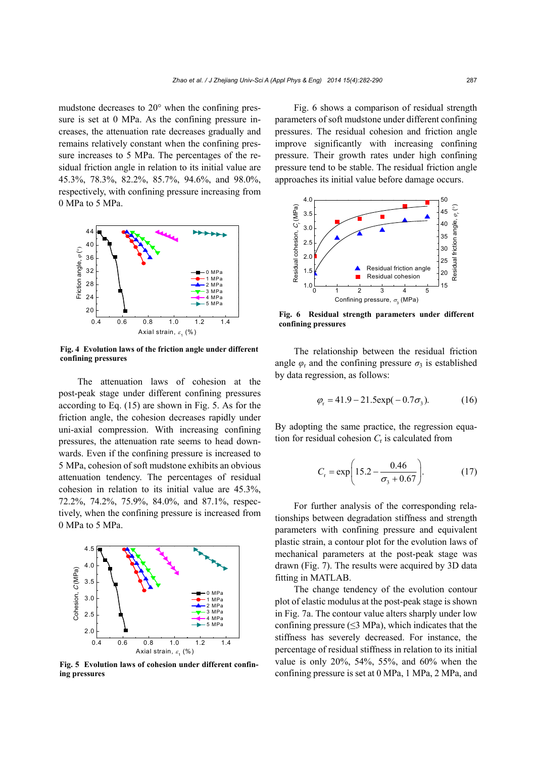mudstone decreases to 20° when the confining pressure is set at 0 MPa. As the confining pressure increases, the attenuation rate decreases gradually and remains relatively constant when the confining pressure increases to 5 MPa. The percentages of the residual friction angle in relation to its initial value are 45.3%, 78.3%, 82.2%, 85.7%, 94.6%, and 98.0%, respectively, with confining pressure increasing from 0 MPa to 5 MPa.



**Fig. 4 Evolution laws of the friction angle under different confining pressures** 

The attenuation laws of cohesion at the post-peak stage under different confining pressures according to Eq. (15) are shown in Fig. 5. As for the friction angle, the cohesion decreases rapidly under uni-axial compression. With increasing confining pressures, the attenuation rate seems to head downwards. Even if the confining pressure is increased to 5 MPa, cohesion of soft mudstone exhibits an obvious attenuation tendency. The percentages of residual cohesion in relation to its initial value are 45.3%, 72.2%, 74.2%, 75.9%, 84.0%, and 87.1%, respectively, when the confining pressure is increased from 0 MPa to 5 MPa.



**Fig. 5 Evolution laws of cohesion under different confining pressures**

Fig. 6 shows a comparison of residual strength parameters of soft mudstone under different confining pressures. The residual cohesion and friction angle improve significantly with increasing confining pressure. Their growth rates under high confining pressure tend to be stable. The residual friction angle approaches its initial value before damage occurs.



**Fig. 6 Residual strength parameters under different confining pressures**

The relationship between the residual friction angle  $\varphi$ <sub>r</sub> and the confining pressure  $\sigma_3$  is established by data regression, as follows:

$$
\varphi_{\rm r} = 41.9 - 21.5 \exp(-0.7 \sigma_3). \tag{16}
$$

By adopting the same practice, the regression equation for residual cohesion *C*r is calculated from

$$
C_{\rm r} = \exp\left(15.2 - \frac{0.46}{\sigma_{\rm s} + 0.67}\right). \tag{17}
$$

For further analysis of the corresponding relationships between degradation stiffness and strength parameters with confining pressure and equivalent plastic strain, a contour plot for the evolution laws of mechanical parameters at the post-peak stage was drawn (Fig. 7). The results were acquired by 3D data fitting in MATLAB.

The change tendency of the evolution contour plot of elastic modulus at the post-peak stage is shown in Fig. 7a. The contour value alters sharply under low confining pressure ( $\leq$ 3 MPa), which indicates that the stiffness has severely decreased. For instance, the percentage of residual stiffness in relation to its initial value is only 20%, 54%, 55%, and 60% when the confining pressure is set at 0 MPa, 1 MPa, 2 MPa, and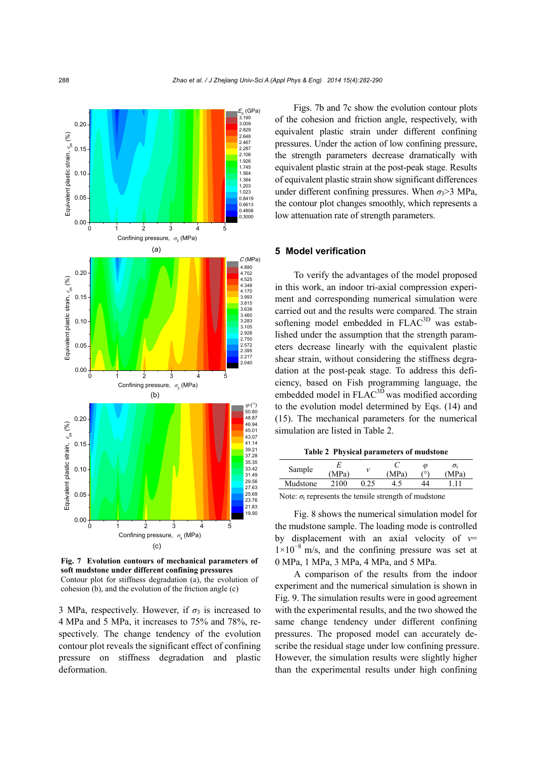

**Fig. 7 Evolution contours of mechanical parameters of soft mudstone under different confining pressures**  Contour plot for stiffness degradation (a), the evolution of cohesion (b), and the evolution of the friction angle (c)

3 MPa, respectively. However, if  $\sigma_3$  is increased to 4 MPa and 5 MPa, it increases to 75% and 78%, respectively. The change tendency of the evolution contour plot reveals the significant effect of confining pressure on stiffness degradation and plastic deformation.

Figs. 7b and 7c show the evolution contour plots of the cohesion and friction angle, respectively, with equivalent plastic strain under different confining pressures. Under the action of low confining pressure, the strength parameters decrease dramatically with equivalent plastic strain at the post-peak stage. Results of equivalent plastic strain show significant differences under different confining pressures. When  $\sigma_3$ >3 MPa, the contour plot changes smoothly, which represents a low attenuation rate of strength parameters.

#### **5 Model verification**

To verify the advantages of the model proposed in this work, an indoor tri-axial compression experiment and corresponding numerical simulation were carried out and the results were compared. The strain softening model embedded in FLAC<sup>3D</sup> was established under the assumption that the strength parameters decrease linearly with the equivalent plastic shear strain, without considering the stiffness degradation at the post-peak stage. To address this deficiency, based on Fish programming language, the embedded model in FLAC<sup>3D</sup> was modified according to the evolution model determined by Eqs. (14) and (15). The mechanical parameters for the numerical simulation are listed in Table 2.

**Table 2 Physical parameters of mudstone** 

| Sample   | MPa  | MPa | $\varphi$<br>(0) | σ,<br>MPa) |
|----------|------|-----|------------------|------------|
| Mudstone | 2100 |     | 44               |            |

Note:  $\sigma_t$  represents the tensile strength of mudstone

Fig. 8 shows the numerical simulation model for the mudstone sample. The loading mode is controlled by displacement with an axial velocity of *v*=  $1\times10^{-8}$  m/s, and the confining pressure was set at 0 MPa, 1 MPa, 3 MPa, 4 MPa, and 5 MPa.

A comparison of the results from the indoor experiment and the numerical simulation is shown in Fig. 9. The simulation results were in good agreement with the experimental results, and the two showed the same change tendency under different confining pressures. The proposed model can accurately describe the residual stage under low confining pressure. However, the simulation results were slightly higher than the experimental results under high confining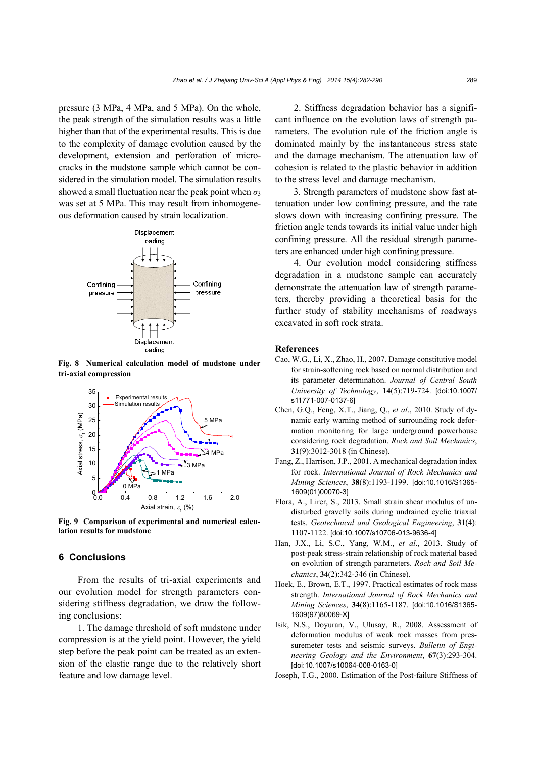pressure (3 MPa, 4 MPa, and 5 MPa). On the whole, the peak strength of the simulation results was a little higher than that of the experimental results. This is due to the complexity of damage evolution caused by the development, extension and perforation of microcracks in the mudstone sample which cannot be considered in the simulation model. The simulation results showed a small fluctuation near the peak point when  $\sigma_3$ was set at 5 MPa. This may result from inhomogeneous deformation caused by strain localization.



**Fig. 8 Numerical calculation model of mudstone under tri-axial compression**



**Fig. 9 Comparison of experimental and numerical calculation results for mudstone** 

### **6 Conclusions**

From the results of tri-axial experiments and our evolution model for strength parameters considering stiffness degradation, we draw the following conclusions:

1. The damage threshold of soft mudstone under compression is at the yield point. However, the yield step before the peak point can be treated as an extension of the elastic range due to the relatively short feature and low damage level.

2. Stiffness degradation behavior has a significant influence on the evolution laws of strength parameters. The evolution rule of the friction angle is dominated mainly by the instantaneous stress state and the damage mechanism. The attenuation law of cohesion is related to the plastic behavior in addition to the stress level and damage mechanism.

3. Strength parameters of mudstone show fast attenuation under low confining pressure, and the rate slows down with increasing confining pressure. The friction angle tends towards its initial value under high confining pressure. All the residual strength parameters are enhanced under high confining pressure.

4. Our evolution model considering stiffness degradation in a mudstone sample can accurately demonstrate the attenuation law of strength parameters, thereby providing a theoretical basis for the further study of stability mechanisms of roadways excavated in soft rock strata.

#### **References**

- Cao, W.G., Li, X., Zhao, H., 2007. Damage constitutive model for strain-softening rock based on normal distribution and its parameter determination. *Journal of Central South University of Technology*, **14**(5):719-724. [doi:10.1007/ s11771-007-0137-6]
- Chen, G.Q., Feng, X.T., Jiang, Q., *et al*., 2010. Study of dynamic early warning method of surrounding rock deformation monitoring for large underground powerhouse considering rock degradation. *Rock and Soil Mechanics*, **31**(9):3012-3018 (in Chinese).
- Fang, Z., Harrison, J.P., 2001. A mechanical degradation index for rock. *International Journal of Rock Mechanics and Mining Sciences*, **38**(8):1193-1199. [doi:10.1016/S1365- 1609(01)00070-3]
- Flora, A., Lirer, S., 2013. Small strain shear modulus of undisturbed gravelly soils during undrained cyclic triaxial tests. *Geotechnical and Geological Engineering*, **31**(4): 1107-1122. [doi:10.1007/s10706-013-9636-4]
- Han, J.X., Li, S.C., Yang, W.M., *et al*., 2013. Study of post-peak stress-strain relationship of rock material based on evolution of strength parameters. *Rock and Soil Mechanics*, **34**(2):342-346 (in Chinese).
- Hoek, E., Brown, E.T., 1997. Practical estimates of rock mass strength. *International Journal of Rock Mechanics and Mining Sciences*, **34**(8):1165-1187. [doi:10.1016/S1365- 1609(97)80069-X]
- Isik, N.S., Doyuran, V., Ulusay, R., 2008. Assessment of deformation modulus of weak rock masses from pressuremeter tests and seismic surveys. *Bulletin of Engineering Geology and the Environment*, **67**(3):293-304. [doi:10.1007/s10064-008-0163-0]
- Joseph, T.G., 2000. Estimation of the Post-failure Stiffness of